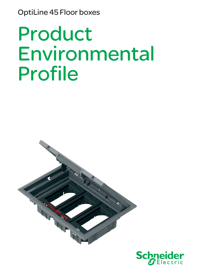OptiLine 45 Floor boxes

# Product Environmental Profile



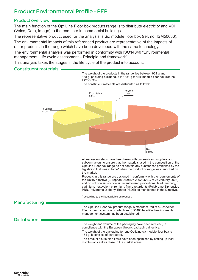## Product Environmental Profile - PEP

### Product overview

The main function of the OptiLine Floor box product range is to distribute electricity and VDI (Voice, Data, Image) to the end user in commercial buildings.

The representative product used for the analysis is Six module floor box (ref. no. ISM50636).

The environmental impacts of this referenced product are representative of the impacts of other products in the range which have been developed with the same technology.

The environmental analysis was performed in conformity with ISO14040 "Environmental management: Life cycle assessment – Principle and framework".

This analysis takes the stages in the life cycle of the product into account.

### Constituent materials

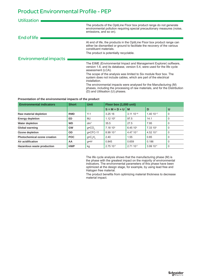## Product Environmental Profile - PEP

| <b>Utilization</b>           |                                                                                                                                                                                                                          |
|------------------------------|--------------------------------------------------------------------------------------------------------------------------------------------------------------------------------------------------------------------------|
|                              | The products of the OptiLine Floor box product range do not generate<br>environmental pollution requiring special precautionary measures (noise,<br>emissions, and so on).                                               |
| End of life                  |                                                                                                                                                                                                                          |
|                              | At end of life, the products in the OptiLine Floor box product range can<br>either be dismantled or ground to facilitate the recovery of the various<br>constituent materials.<br>The product is potentially recyclable. |
| <b>Environmental impacts</b> |                                                                                                                                                                                                                          |
|                              | The EIME (Environmental Impact and Management Explorer) software,<br>version 1.6, and its database, version 5.4, were used for the life cycle<br>assessment (LCA).                                                       |
|                              | The scope of the analysis was limited to Six module floor box. The<br>system does not include cables, which are part of the electrical<br>installation.                                                                  |
|                              | The environmental impacts were analysed for the Manufacturing (M)<br>phases, including the processing of raw materials, and for the Distribution<br>(D) and Utilisation (U) phases.                                      |

#### **Presentation of the environmental impacts of the product**

| <b>Environmental indicators</b> | <b>Short</b> | <b>Unit</b>         | Floor box (1,000 unit) |                          |                       |          |
|---------------------------------|--------------|---------------------|------------------------|--------------------------|-----------------------|----------|
|                                 |              |                     | $S = M + D + U$        | <b>M</b>                 | D                     | U        |
| Raw material depletion          | <b>RMD</b>   | $Y-1$               | 3.25 16                | $3.11$ 10 <sup>-16</sup> | 1.40 10-17            | 0        |
| <b>Energy depletion</b>         | ED.          | MJ                  | 1.12 10 <sup>2</sup>   | 97.5                     | 14.1                  | 0        |
| <b>Water depletion</b>          | <b>WD</b>    | dm <sup>3</sup>     | 35.5                   | 27.5                     | 7.95                  | $\Omega$ |
| Global warming                  | <b>GW</b>    | $g \approx CO$      | 7.1810 <sup>3</sup>    | 6.45 10 <sup>3</sup>     | 7.33 10 <sup>2</sup>  | 0        |
| Ozone depletion                 | <b>OD</b>    | $q \approx CFC-11$  | 8.99 10-4              | 4.47 10-4                | 4.52 10 <sup>-4</sup> | 0        |
| Photochemical ozone creation    | <b>POC</b>   | $g \approx C_2 H_4$ | 2.40                   | 1.55                     | 0.85                  | $\Omega$ |
| Air acidification               | AA           | q≈H <sup>+</sup>    | 0.845                  | 0.659                    | 0.186                 | $\Omega$ |
| Hazardous waste production      | <b>HWP</b>   | kg                  | $2.75$ 10 $^{-2}$      | $2.7110^{-2}$            | 3.99 10 <sup>-4</sup> | 0        |

The life cycle analysis shows that the manufacturing phase (M) is the phase with the greatest impact on the majority of environmental indicators. The environmental parameters of this phase have been optimized at the design stage, for example, by using lead free and Halogen free material.

The product benefits from optimizing material thickness to decrease material impact.